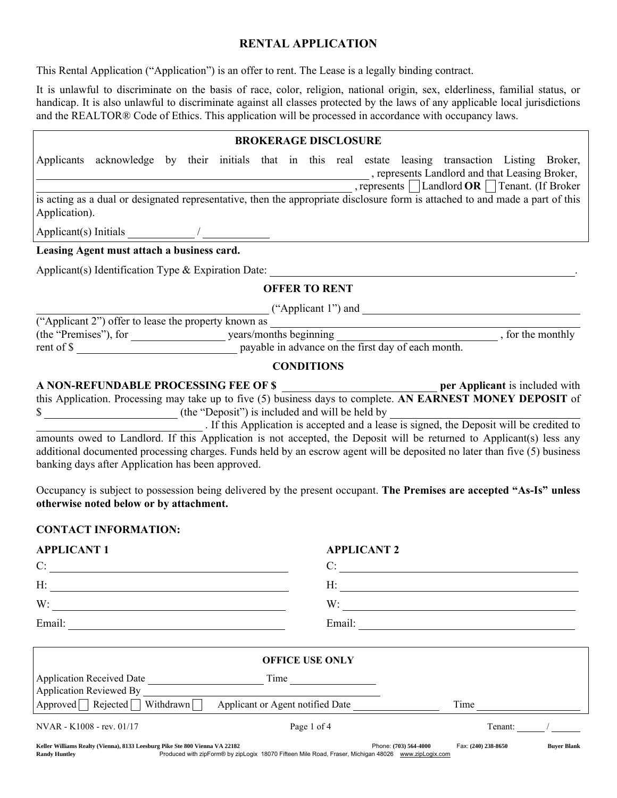# RENTAL APPLICATION

This Rental Application ("Application") is an offer to rent. The Lease is a legally binding contract.

It is unlawful to discriminate on the basis of race, color, religion, national origin, sex, elderliness, familial status, or handicap. It is also unlawful to discriminate against all classes protected by the laws of any applicable local jurisdictions and the REALTOR® Code of Ethics. This application will be processed in accordance with occupancy laws.

|               |                                                                                                                               |  |                                                 |  |                      | <b>BROKERAGE DISCLOSURE</b> |  |                                                                                                                           |  |
|---------------|-------------------------------------------------------------------------------------------------------------------------------|--|-------------------------------------------------|--|----------------------|-----------------------------|--|---------------------------------------------------------------------------------------------------------------------------|--|
|               | Applicants acknowledge by their initials that in this real estate leasing transaction Listing Broker,                         |  |                                                 |  |                      |                             |  | represents Landlord and that Leasing Broker,<br>$\Box$ , represents   $\Box$ Landlord <b>OR</b> $\Box$ Tenant. (If Broker |  |
| Application). | is acting as a dual or designated representative, then the appropriate disclosure form is attached to and made a part of this |  |                                                 |  |                      |                             |  |                                                                                                                           |  |
|               |                                                                                                                               |  |                                                 |  |                      |                             |  |                                                                                                                           |  |
|               | Leasing Agent must attach a business card.                                                                                    |  |                                                 |  |                      |                             |  |                                                                                                                           |  |
|               | Applicant(s) Identification Type $\&$ Expiration Date:                                                                        |  |                                                 |  |                      |                             |  |                                                                                                                           |  |
|               |                                                                                                                               |  |                                                 |  | <b>OFFER TO RENT</b> |                             |  |                                                                                                                           |  |
|               |                                                                                                                               |  |                                                 |  |                      |                             |  | ("Applicant 1") and $\qquad \qquad$                                                                                       |  |
|               | ("Applicant 2") offer to lease the property known as                                                                          |  |                                                 |  |                      |                             |  |                                                                                                                           |  |
|               |                                                                                                                               |  |                                                 |  |                      |                             |  |                                                                                                                           |  |
|               | rent of \$                                                                                                                    |  |                                                 |  |                      |                             |  |                                                                                                                           |  |
|               |                                                                                                                               |  |                                                 |  | <b>CONDITIONS</b>    |                             |  |                                                                                                                           |  |
|               | A NON-REFUNDABLE PROCESSING FEE OF \$                                                                                         |  |                                                 |  |                      |                             |  | per Applicant is included with                                                                                            |  |
|               | this Application. Processing may take up to five (5) business days to complete. AN EARNEST MONEY DEPOSIT of                   |  |                                                 |  |                      |                             |  |                                                                                                                           |  |
| \$            |                                                                                                                               |  | (the "Deposit") is included and will be held by |  |                      |                             |  |                                                                                                                           |  |

 . If this Application is accepted and a lease is signed, the Deposit will be credited to amounts owed to Landlord. If this Application is not accepted, the Deposit will be returned to Applicant(s) less any additional documented processing charges. Funds held by an escrow agent will be deposited no later than five (5) business banking days after Application has been approved.

Occupancy is subject to possession being delivered by the present occupant. The Premises are accepted "As-Is" unless otherwise noted below or by attachment.

## CONTACT INFORMATION:

| <b>APPLICANT 1</b> | <b>APPLICANT 2</b> |
|--------------------|--------------------|
| C:                 | ┌.                 |
| H:                 | H:                 |
| W:                 | W:                 |
| Email:             | Email:             |
|                    |                    |

|                                                                                                     | <b>OFFICE USE ONLY</b>                                                                                                       |                     |                    |
|-----------------------------------------------------------------------------------------------------|------------------------------------------------------------------------------------------------------------------------------|---------------------|--------------------|
| <b>Application Received Date</b><br><b>Application Reviewed By</b>                                  | Time                                                                                                                         |                     |                    |
| Rejected<br>Approved                                                                                | Withdrawn<br>Applicant or Agent notified Date                                                                                | Time                |                    |
| NVAR - K1008 - rev. 01/17                                                                           | Page 1 of 4                                                                                                                  | Tenant:             |                    |
| Keller Williams Realty (Vienna), 8133 Leesburg Pike Ste 800 Vienna VA 22182<br><b>Randy Huntley</b> | Phone: (703) 564-4000<br>Produced with zipForm® by zipLogix 18070 Fifteen Mile Road, Fraser, Michigan 48026 www.zipLogix.com | Fax: (240) 238-8650 | <b>Buver Blank</b> |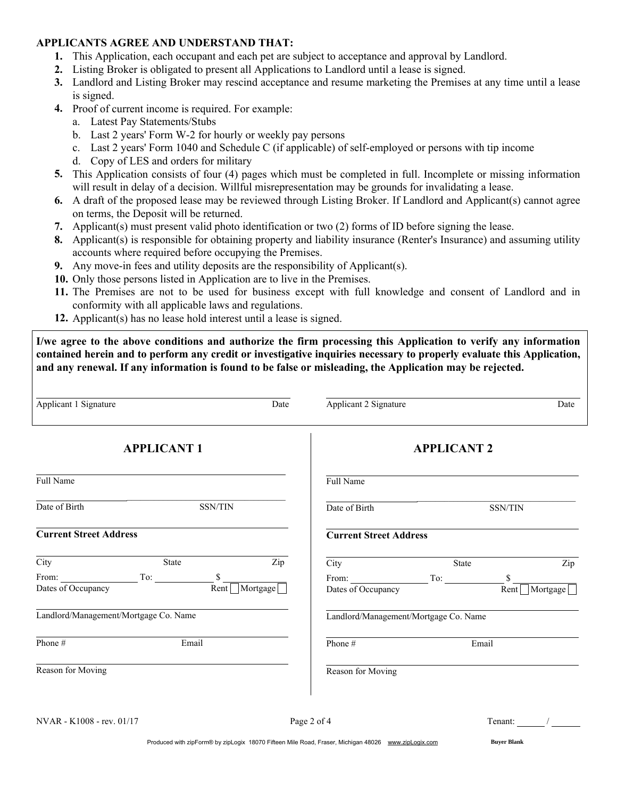### APPLICANTS AGREE AND UNDERSTAND THAT:

- 1. This Application, each occupant and each pet are subject to acceptance and approval by Landlord.
- 2. Listing Broker is obligated to present all Applications to Landlord until a lease is signed.
- 3. Landlord and Listing Broker may rescind acceptance and resume marketing the Premises at any time until a lease is signed.
- 4. Proof of current income is required. For example:
	- a. Latest Pay Statements/Stubs
	- b. Last 2 years' Form W-2 for hourly or weekly pay persons
	- c. Last 2 years' Form 1040 and Schedule C (if applicable) of self-employed or persons with tip income
	- d. Copy of LES and orders for military
- 5. This Application consists of four (4) pages which must be completed in full. Incomplete or missing information will result in delay of a decision. Willful misrepresentation may be grounds for invalidating a lease.
- 6. A draft of the proposed lease may be reviewed through Listing Broker. If Landlord and Applicant(s) cannot agree on terms, the Deposit will be returned.
- 7. Applicant(s) must present valid photo identification or two (2) forms of ID before signing the lease.
- 8. Applicant(s) is responsible for obtaining property and liability insurance (Renter's Insurance) and assuming utility accounts where required before occupying the Premises.
- 9. Any move-in fees and utility deposits are the responsibility of Applicant(s).
- 10. Only those persons listed in Application are to live in the Premises.
- 11. The Premises are not to be used for business except with full knowledge and consent of Landlord and in conformity with all applicable laws and regulations.
- 12. Applicant(s) has no lease hold interest until a lease is signed.

I/we agree to the above conditions and authorize the firm processing this Application to verify any information contained herein and to perform any credit or investigative inquiries necessary to properly evaluate this Application, and any renewal. If any information is found to be false or misleading, the Application may be rejected.

| Applicant 1 Signature         |                                       | Date     | Applicant 2 Signature                 |                    |            | Date     |
|-------------------------------|---------------------------------------|----------|---------------------------------------|--------------------|------------|----------|
|                               | <b>APPLICANT1</b>                     |          |                                       | <b>APPLICANT 2</b> |            |          |
| Full Name                     |                                       |          | Full Name                             |                    |            |          |
| Date of Birth                 | <b>SSN/TIN</b>                        |          | Date of Birth                         |                    | SSN/TIN    |          |
| <b>Current Street Address</b> |                                       |          | <b>Current Street Address</b>         |                    |            |          |
| City                          | State                                 | Zip      | City                                  | State              |            | Zip      |
| From:<br>Dates of Occupancy   | \$<br>Rent                            | Mortgage | From:<br>Dates of Occupancy           | To:                | \$<br>Rent | Mortgage |
|                               | Landlord/Management/Mortgage Co. Name |          | Landlord/Management/Mortgage Co. Name |                    |            |          |
| Phone#                        | Email                                 |          | Phone#                                |                    | Email      |          |
| Reason for Moving             |                                       |          | Reason for Moving                     |                    |            |          |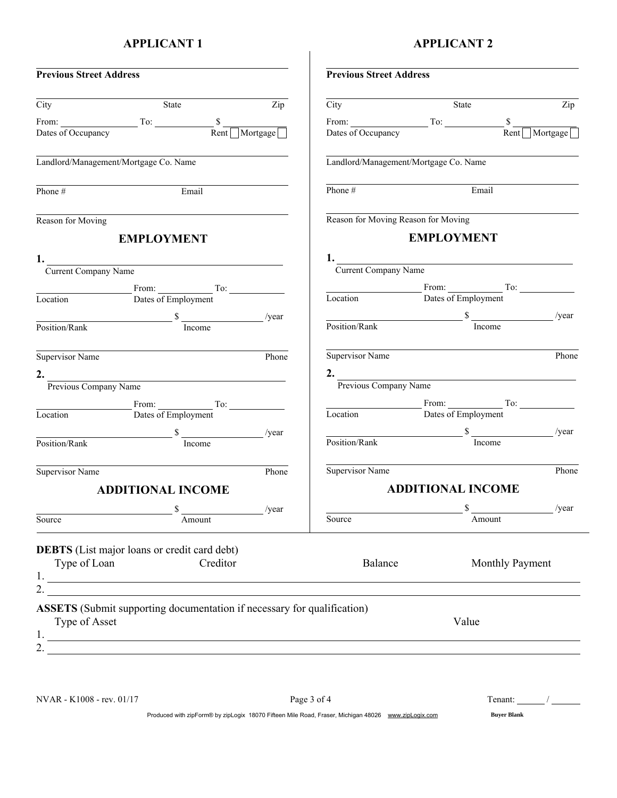# APPLICANT 1

# APPLICANT 2

| <b>Previous Street Address</b> |                                                                                                                                                                                                                                                                                                                                                                                                                  |                  | <b>Previous Street Address</b>                                                                                 |                                                                                                                       |                                                                                                                                                                                                                                                                                                                                                                                                              |       |
|--------------------------------|------------------------------------------------------------------------------------------------------------------------------------------------------------------------------------------------------------------------------------------------------------------------------------------------------------------------------------------------------------------------------------------------------------------|------------------|----------------------------------------------------------------------------------------------------------------|-----------------------------------------------------------------------------------------------------------------------|--------------------------------------------------------------------------------------------------------------------------------------------------------------------------------------------------------------------------------------------------------------------------------------------------------------------------------------------------------------------------------------------------------------|-------|
| City                           | State                                                                                                                                                                                                                                                                                                                                                                                                            | $\overline{Zip}$ | City                                                                                                           | State                                                                                                                 |                                                                                                                                                                                                                                                                                                                                                                                                              | Zip   |
|                                |                                                                                                                                                                                                                                                                                                                                                                                                                  |                  |                                                                                                                |                                                                                                                       |                                                                                                                                                                                                                                                                                                                                                                                                              |       |
|                                | From: $\overline{\text{To:}}$ To: $\overline{\text{Rent}}$ Mortgage                                                                                                                                                                                                                                                                                                                                              |                  | From: $\frac{\text{From:}}{\text{Dates of Occupancy}}$ To: $\frac{\text{S}}{\text{Rent} \cap \text{Mortgage}}$ |                                                                                                                       |                                                                                                                                                                                                                                                                                                                                                                                                              |       |
|                                | Landlord/Management/Mortgage Co. Name                                                                                                                                                                                                                                                                                                                                                                            |                  | Landlord/Management/Mortgage Co. Name                                                                          |                                                                                                                       |                                                                                                                                                                                                                                                                                                                                                                                                              |       |
| Phone $#$                      | Email                                                                                                                                                                                                                                                                                                                                                                                                            |                  | Phone $#$                                                                                                      |                                                                                                                       | Email                                                                                                                                                                                                                                                                                                                                                                                                        |       |
| Reason for Moving              |                                                                                                                                                                                                                                                                                                                                                                                                                  |                  | Reason for Moving Reason for Moving                                                                            |                                                                                                                       |                                                                                                                                                                                                                                                                                                                                                                                                              |       |
|                                | <b>EMPLOYMENT</b>                                                                                                                                                                                                                                                                                                                                                                                                |                  |                                                                                                                | <b>EMPLOYMENT</b>                                                                                                     |                                                                                                                                                                                                                                                                                                                                                                                                              |       |
|                                |                                                                                                                                                                                                                                                                                                                                                                                                                  |                  | 1. Current Company Name                                                                                        |                                                                                                                       |                                                                                                                                                                                                                                                                                                                                                                                                              |       |
| Current Company Name           |                                                                                                                                                                                                                                                                                                                                                                                                                  |                  |                                                                                                                |                                                                                                                       |                                                                                                                                                                                                                                                                                                                                                                                                              |       |
|                                |                                                                                                                                                                                                                                                                                                                                                                                                                  |                  |                                                                                                                |                                                                                                                       |                                                                                                                                                                                                                                                                                                                                                                                                              |       |
|                                |                                                                                                                                                                                                                                                                                                                                                                                                                  |                  |                                                                                                                |                                                                                                                       |                                                                                                                                                                                                                                                                                                                                                                                                              |       |
|                                | $\frac{\text{d}}{\text{Position/Rank}}$ $\frac{\text{s}}{\text{Income}}$                                                                                                                                                                                                                                                                                                                                         | /year            | $\frac{\text{Position/Rank}}{\text{Location/Rank}}$                                                            |                                                                                                                       |                                                                                                                                                                                                                                                                                                                                                                                                              | /year |
|                                |                                                                                                                                                                                                                                                                                                                                                                                                                  |                  |                                                                                                                |                                                                                                                       |                                                                                                                                                                                                                                                                                                                                                                                                              |       |
| Supervisor Name                | <u> 1990 - Johann John Stone, markin samti som blev store og store og store og store og store og store og store o</u>                                                                                                                                                                                                                                                                                            | Phone            | Supervisor Name                                                                                                | <u> 1989 - Johann Harry Harry Harry Harry Harry Harry Harry Harry Harry Harry Harry Harry Harry Harry Harry Harry</u> |                                                                                                                                                                                                                                                                                                                                                                                                              | Phone |
|                                |                                                                                                                                                                                                                                                                                                                                                                                                                  |                  | 2. Previous Company Name                                                                                       |                                                                                                                       |                                                                                                                                                                                                                                                                                                                                                                                                              |       |
|                                | 2. Previous Company Name                                                                                                                                                                                                                                                                                                                                                                                         |                  |                                                                                                                |                                                                                                                       |                                                                                                                                                                                                                                                                                                                                                                                                              |       |
|                                | $\begin{array}{c}\n\text{From:}\n\end{array}$ To:                                                                                                                                                                                                                                                                                                                                                                |                  |                                                                                                                | $\begin{array}{c}\n\text{From:}\n\end{array}$ To:                                                                     |                                                                                                                                                                                                                                                                                                                                                                                                              |       |
|                                | Location Dates of Employment                                                                                                                                                                                                                                                                                                                                                                                     |                  | Location Dates of Employment                                                                                   |                                                                                                                       |                                                                                                                                                                                                                                                                                                                                                                                                              |       |
|                                |                                                                                                                                                                                                                                                                                                                                                                                                                  |                  | $\frac{1}{\text{Position/Rank}}$ $\frac{1}{\text{hcome}}$                                                      |                                                                                                                       |                                                                                                                                                                                                                                                                                                                                                                                                              | /year |
|                                |                                                                                                                                                                                                                                                                                                                                                                                                                  |                  |                                                                                                                |                                                                                                                       |                                                                                                                                                                                                                                                                                                                                                                                                              |       |
| Supervisor Name                | <u> 1980 - Andrea Britain, amerikan personal (</u>                                                                                                                                                                                                                                                                                                                                                               | Phone            | Supervisor Name                                                                                                |                                                                                                                       |                                                                                                                                                                                                                                                                                                                                                                                                              | Phone |
|                                | <b>ADDITIONAL INCOME</b>                                                                                                                                                                                                                                                                                                                                                                                         |                  |                                                                                                                | <b>ADDITIONAL INCOME</b>                                                                                              |                                                                                                                                                                                                                                                                                                                                                                                                              |       |
|                                |                                                                                                                                                                                                                                                                                                                                                                                                                  | /year            |                                                                                                                | \$                                                                                                                    |                                                                                                                                                                                                                                                                                                                                                                                                              | /year |
| Source                         | Amount                                                                                                                                                                                                                                                                                                                                                                                                           |                  | Source                                                                                                         |                                                                                                                       | Amount                                                                                                                                                                                                                                                                                                                                                                                                       |       |
|                                | <b>DEBTS</b> (List major loans or credit card debt)                                                                                                                                                                                                                                                                                                                                                              |                  |                                                                                                                |                                                                                                                       |                                                                                                                                                                                                                                                                                                                                                                                                              |       |
| Type of Loan                   | Creditor                                                                                                                                                                                                                                                                                                                                                                                                         |                  | Balance                                                                                                        |                                                                                                                       | Monthly Payment                                                                                                                                                                                                                                                                                                                                                                                              |       |
|                                | 2. $\qquad \qquad$                                                                                                                                                                                                                                                                                                                                                                                               |                  |                                                                                                                |                                                                                                                       |                                                                                                                                                                                                                                                                                                                                                                                                              |       |
|                                | <b>ASSETS</b> (Submit supporting documentation if necessary for qualification)                                                                                                                                                                                                                                                                                                                                   |                  |                                                                                                                |                                                                                                                       |                                                                                                                                                                                                                                                                                                                                                                                                              |       |
| Type of Asset                  |                                                                                                                                                                                                                                                                                                                                                                                                                  |                  |                                                                                                                | Value                                                                                                                 |                                                                                                                                                                                                                                                                                                                                                                                                              |       |
|                                | 2. $\frac{1}{\sqrt{1-\frac{1}{2}}\sqrt{1-\frac{1}{2}}\sqrt{1-\frac{1}{2}}\sqrt{1-\frac{1}{2}}\sqrt{1-\frac{1}{2}}\sqrt{1-\frac{1}{2}}\sqrt{1-\frac{1}{2}}\sqrt{1-\frac{1}{2}}\sqrt{1-\frac{1}{2}}\sqrt{1-\frac{1}{2}}\sqrt{1-\frac{1}{2}}\sqrt{1-\frac{1}{2}}\sqrt{1-\frac{1}{2}}\sqrt{1-\frac{1}{2}}\sqrt{1-\frac{1}{2}}\sqrt{1-\frac{1}{2}}\sqrt{1-\frac{1}{2}}\sqrt{1-\frac{1}{2}}\sqrt{1-\frac{1}{2}}\sqrt{$ |                  |                                                                                                                |                                                                                                                       |                                                                                                                                                                                                                                                                                                                                                                                                              |       |
|                                |                                                                                                                                                                                                                                                                                                                                                                                                                  |                  |                                                                                                                |                                                                                                                       |                                                                                                                                                                                                                                                                                                                                                                                                              |       |
| NVAR - K1008 - rev. 01/17      |                                                                                                                                                                                                                                                                                                                                                                                                                  |                  | Page 3 of 4                                                                                                    |                                                                                                                       | Tenant: $\frac{1}{\sqrt{1-\frac{1}{2}}}\frac{1}{\sqrt{1-\frac{1}{2}}\sqrt{1-\frac{1}{2}}\sqrt{1-\frac{1}{2}}\sqrt{1-\frac{1}{2}}\sqrt{1-\frac{1}{2}}\sqrt{1-\frac{1}{2}}\sqrt{1-\frac{1}{2}}\sqrt{1-\frac{1}{2}}\sqrt{1-\frac{1}{2}}\sqrt{1-\frac{1}{2}}\sqrt{1-\frac{1}{2}}\sqrt{1-\frac{1}{2}}\sqrt{1-\frac{1}{2}}\sqrt{1-\frac{1}{2}}\sqrt{1-\frac{1}{2}}\sqrt{1-\frac{1}{2}}\sqrt{1-\frac{1}{2}}\sqrt{1$ |       |